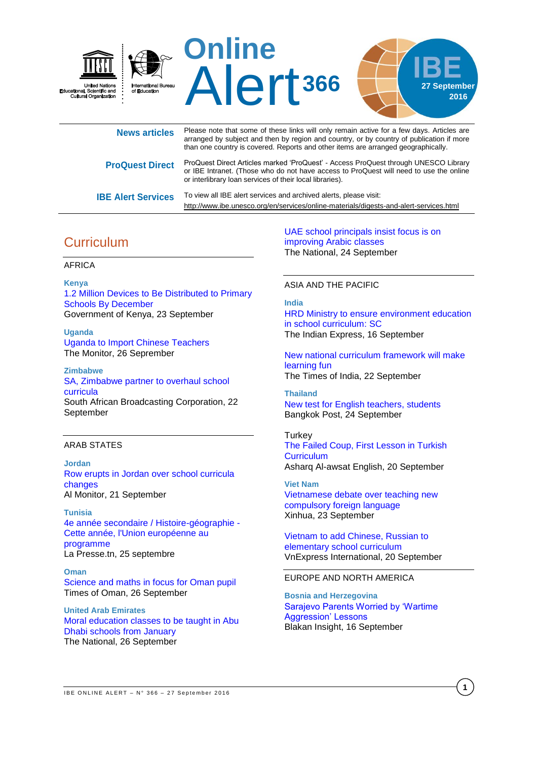

| <b>News articles</b>      | Please note that some of these links will only remain active for a few days. Articles are<br>arranged by subject and then by region and country, or by country of publication if more<br>than one country is covered. Reports and other items are arranged geographically. |
|---------------------------|----------------------------------------------------------------------------------------------------------------------------------------------------------------------------------------------------------------------------------------------------------------------------|
| <b>ProQuest Direct</b>    | ProQuest Direct Articles marked 'ProQuest' - Access ProQuest through UNESCO Library<br>or IBE Intranet. (Those who do not have access to ProQuest will need to use the online<br>or interlibrary loan services of their local libraries).                                  |
| <b>IBE Alert Services</b> | To view all IBE alert services and archived alerts, please visit:<br>http://www.ibe.unesco.org/en/services/online-materials/digests-and-alert-services.html                                                                                                                |

# **Curriculum**

### AFRICA

**Kenya** [1.2 Million Devices to Be Distributed to Primary](http://allafrica.com/stories/201609231137.html)  [Schools By December](http://allafrica.com/stories/201609231137.html) Government of Kenya, 23 September

**Uganda** [Uganda to Import Chinese Teachers](http://allafrica.com/stories/201609260001.html) The Monitor, 26 Seprember

### **Zimbabwe** [SA, Zimbabwe partner to overhaul school](http://www.sabc.co.za/news/a/8a5eda004e537aa08be9bfcbc756b302/SA,-Zimbabwe-partner-to-overhaul-school-curricula-20160922)  [curricula](http://www.sabc.co.za/news/a/8a5eda004e537aa08be9bfcbc756b302/SA,-Zimbabwe-partner-to-overhaul-school-curricula-20160922)

South African Broadcasting Corporation, 22 September

### ARAB STATES

### **Jordan**

[Row erupts in Jordan over school curricula](http://www.al-monitor.com/pulse/originals/2016/09/jordan-reform-school-curricula-extremism.html)  [changes](http://www.al-monitor.com/pulse/originals/2016/09/jordan-reform-school-curricula-extremism.html) Al Monitor, 21 September

**Tunisia** [4e année secondaire / Histoire-géographie -](http://fr.allafrica.com/stories/201609261017.html) [Cette année, l'Union européenne au](http://fr.allafrica.com/stories/201609261017.html)  [programme](http://fr.allafrica.com/stories/201609261017.html) La Presse.tn, 25 septembre

**Oman** [Science and maths in focus for Oman pupil](http://timesofoman.com/article/92939/Oman/Education/Science-and-maths-in-focus-for-Oman-pupils) Times of Oman, 26 September

**United Arab Emirates** [Moral education classes to be taught in Abu](http://www.thenational.ae/uae/moral-education-classes-to-be-taught-in-abu-dhabi-schools-from-january)  [Dhabi schools from January](http://www.thenational.ae/uae/moral-education-classes-to-be-taught-in-abu-dhabi-schools-from-january) The National, 26 September

[UAE school principals insist focus is on](http://www.thenational.ae/uae/education/20160924/uae-school-principals-insist-focus-is-on-improving-arabic-classes)  [improving Arabic classes](http://www.thenational.ae/uae/education/20160924/uae-school-principals-insist-focus-is-on-improving-arabic-classes) The National, 24 September

### ASIA AND THE PACIFIC

#### **India**

[HRD Ministry to ensure environment education](http://indianexpress.com/article/education/hrd-ministry-to-ensure-environment-education-in-school-curriculum-sc-3034623/)  [in school curriculum:](http://indianexpress.com/article/education/hrd-ministry-to-ensure-environment-education-in-school-curriculum-sc-3034623/) SC The Indian Express, 16 September

[New national curriculum framework will make](http://timesofindia.indiatimes.com/city/mysuru/New-national-curriculum-framework-will-make-learning-fun/articleshow/54456185.cms)  [learning fun](http://timesofindia.indiatimes.com/city/mysuru/New-national-curriculum-framework-will-make-learning-fun/articleshow/54456185.cms) The Times of India, 22 September

**Thailand** [New test for English teachers, students](http://www.bangkokpost.com/news/general/1093725/new-test-for-english-teachers-students)  Bangkok Post, 24 September

#### **Turkey**

[The Failed Coup, First Lesson in Turkish](http://english.aawsat.com/2016/09/article55358672/failed-coup-first-lesson-turkish-curriculum)  **[Curriculum](http://english.aawsat.com/2016/09/article55358672/failed-coup-first-lesson-turkish-curriculum)** Asharq Al-awsat English, 20 September

**Viet Nam** [Vietnamese debate over teaching new](http://news.xinhuanet.com/english/2016-09/23/c_135709009.htm)  [compulsory foreign language](http://news.xinhuanet.com/english/2016-09/23/c_135709009.htm) Xinhua, 23 September

[Vietnam to add Chinese, Russian to](http://e.vnexpress.net/news/news/vietnam-to-add-chinese-russian-to-elementary-school-curriculum-3470743.html)  [elementary school curriculum](http://e.vnexpress.net/news/news/vietnam-to-add-chinese-russian-to-elementary-school-curriculum-3470743.html) VnExpress International, 20 September

### EUROPE AND NORTH AMERICA

**Bosnia and Herzegovina** [Sarajevo Parents Worried by 'Wartime](http://www.balkaninsight.com/en/article/sarajevo-prime-minister-announces-teaching-about-aggression--09-16-2016)  [Aggression' Lessons](http://www.balkaninsight.com/en/article/sarajevo-prime-minister-announces-teaching-about-aggression--09-16-2016) Blakan Insight, 16 September

**1**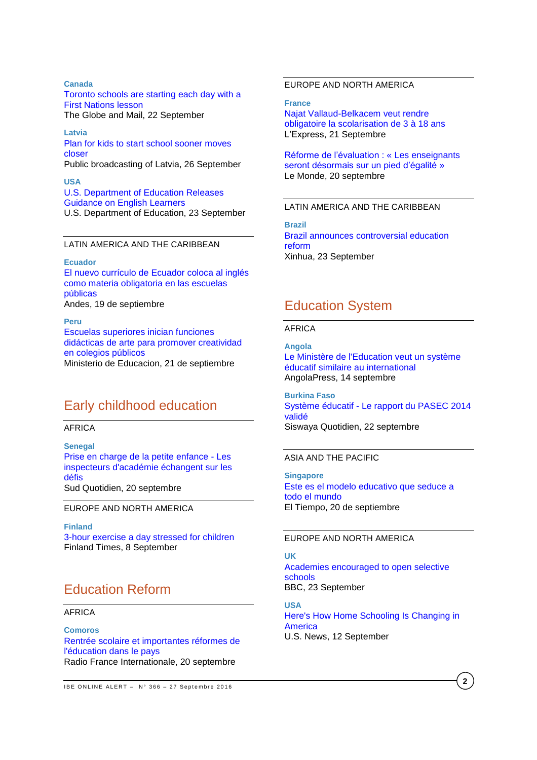### **Canada**

[Toronto schools are starting each day with a](http://www.theglobeandmail.com/news/national/education/toronto-schools-are-starting-each-day-with-a-first-nations-lesson/article32018118/)  [First Nations lesson](http://www.theglobeandmail.com/news/national/education/toronto-schools-are-starting-each-day-with-a-first-nations-lesson/article32018118/) The Globe and Mail, 22 September

**Latvia** [Plan for kids to start school sooner moves](http://www.lsm.lv/en/article/societ/society/plan-for-kids-to-start-school-sooner-moves-closer.a202556/)  [closer](http://www.lsm.lv/en/article/societ/society/plan-for-kids-to-start-school-sooner-moves-closer.a202556/)

Public broadcasting of Latvia, 26 September

**USA** [U.S. Department of Education Releases](http://www.ed.gov/news/press-releases/us-department-education-releases-guidance-english-learners)  [Guidance on English Learners](http://www.ed.gov/news/press-releases/us-department-education-releases-guidance-english-learners) U.S. Department of Education, 23 September

### LATIN AMERICA AND THE CARIBBEAN

**Ecuador**

[El nuevo currículo de Ecuador coloca al inglés](http://www.andes.info.ec/es/noticias/nuevo-curriculo-ecuador-coloca-ingles-materia-obligatoria-escuelas-publicas.html)  [como materia obligatoria en las escuelas](http://www.andes.info.ec/es/noticias/nuevo-curriculo-ecuador-coloca-ingles-materia-obligatoria-escuelas-publicas.html)  [públicas](http://www.andes.info.ec/es/noticias/nuevo-curriculo-ecuador-coloca-ingles-materia-obligatoria-escuelas-publicas.html) Andes, 19 de septiembre

**Peru** [Escuelas superiores inician funciones](http://www.minedu.gob.pe/n/noticia.php?id=39762)  [didácticas de arte para promover creatividad](http://www.minedu.gob.pe/n/noticia.php?id=39762)  [en colegios públicos](http://www.minedu.gob.pe/n/noticia.php?id=39762) Ministerio de Educacion, 21 de septiembre

## Early childhood education

### AFRICA

**Senegal** [Prise en charge de la petite enfance -](http://fr.allafrica.com/stories/201609201047.html) Les [inspecteurs d'académie échangent sur les](http://fr.allafrica.com/stories/201609201047.html)  [défis](http://fr.allafrica.com/stories/201609201047.html) Sud Quotidien, 20 septembre

EUROPE AND NORTH AMERICA

**Finland** [3-hour exercise a day stressed for children](http://www.finlandtimes.fi/education/2016/09/08/29960/3-hour-exercise-a-day-stressed-for-children) Finland Times, 8 September

# Education Reform

### AFRICA

**Comoros** [Rentrée scolaire et importantes réformes de](http://fr.allafrica.com/stories/201609200480.html)  [l'éducation dans le pays](http://fr.allafrica.com/stories/201609200480.html) Radio France Internationale, 20 septembre

#### **17**  $\epsilon$ EUROPE AND NORTH AMERICA

**France** [Najat Vallaud-Belkacem veut rendre](http://www.lexpress.fr/education/najat-vallaud-belkacem-veut-rendre-obligatoire-la-scolarisation-de-3-a-18-ans_1832841.html)  [obligatoire la scolarisation de 3 à 18 ans](http://www.lexpress.fr/education/najat-vallaud-belkacem-veut-rendre-obligatoire-la-scolarisation-de-3-a-18-ans_1832841.html) L'Express, 21 Septembre

[Réforme de l'évaluation](http://www.lemonde.fr/education/article/2016/09/20/reforme-de-l-evaluation-les-enseignants-seront-desormais-sur-un-pied-d-egalite_5000532_1473685.html) : « Les enseignants [seront désormais sur un pied d'égalité](http://www.lemonde.fr/education/article/2016/09/20/reforme-de-l-evaluation-les-enseignants-seront-desormais-sur-un-pied-d-egalite_5000532_1473685.html) » Le Monde, 20 septembre

### LATIN AMERICA AND THE CARIBBEAN

**Brazil** [Brazil announces controversial education](http://news.xinhuanet.com/english/2016-09/23/c_135708911.htm)  [reform](http://news.xinhuanet.com/english/2016-09/23/c_135708911.htm) Xinhua, 23 September

### Education System

#### AFRICA

**Angola** [Le Ministère de l'Education veut un système](http://www.angop.ao/angola/fr_fr/noticias/educacao/2016/8/37/Ministere-Education-veut-systeme-educatif-similaire-international,cecd0b19-27f0-48af-be7c-42dd2f4bcc65.html)  [éducatif similaire au international](http://www.angop.ao/angola/fr_fr/noticias/educacao/2016/8/37/Ministere-Education-veut-systeme-educatif-similaire-international,cecd0b19-27f0-48af-be7c-42dd2f4bcc65.html) AngolaPress, 14 septembre

**Burkina Faso** Système éducatif - [Le rapport du PASEC 2014](http://fr.allafrica.com/stories/201609230815.html)  [validé](http://fr.allafrica.com/stories/201609230815.html) Siswaya Quotidien, 22 septembre

### ASIA AND THE PACIFIC

**Singapore** [Este es el modelo educativo que seduce a](http://www.eltiempo.com/estilo-de-vida/educacion/entrevista-con-mike-thiruman-presidente-del-sindicato-de-maestros-de-singapur-/16706184)  [todo el mundo](http://www.eltiempo.com/estilo-de-vida/educacion/entrevista-con-mike-thiruman-presidente-del-sindicato-de-maestros-de-singapur-/16706184) El Tiempo, 20 de septiembre

### EUROPE AND NORTH AMERICA

### **UK**

[Academies encouraged to open selective](http://www.bbc.com/news/education-37451974)  [schools](http://www.bbc.com/news/education-37451974) BBC, 23 September

**USA** [Here's How Home Schooling Is Changing in](http://www.usnews.com/news/articles/2016-09-12/heres-how-home-schooling-is-changing-in-america)  **[America](http://www.usnews.com/news/articles/2016-09-12/heres-how-home-schooling-is-changing-in-america)** U.S. News, 12 September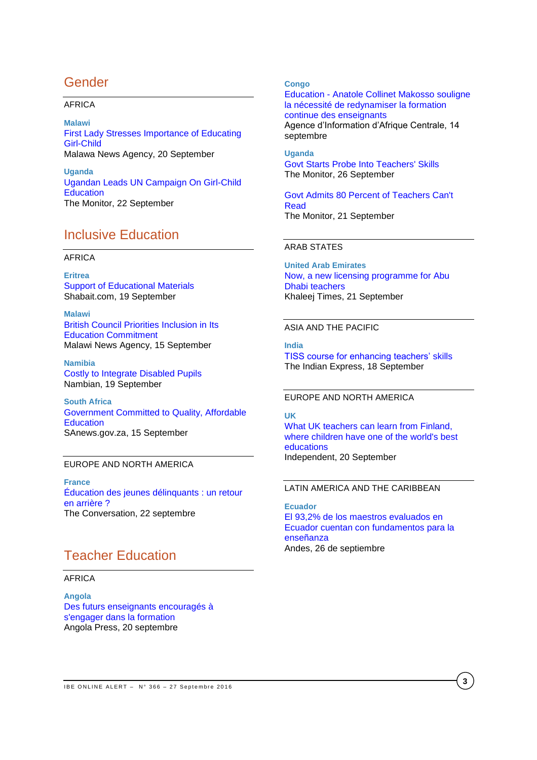# Gender

### AFRICA

**Malawi** [First Lady Stresses Importance of Educating](http://allafrica.com/stories/201609210976.html)  [Girl-Child](http://allafrica.com/stories/201609210976.html) Malawa News Agency, 20 September

**Uganda** [Ugandan Leads UN Campaign On Girl-Child](http://allafrica.com/stories/201609220293.html)  **[Education](http://allafrica.com/stories/201609220293.html)** The Monitor, 22 September

# Inclusive Education

### AFRICA

**Eritrea** [Support of Educational Materials](http://allafrica.com/stories/201609200615.html) Shabait.com, 19 September

**Malawi** [British Council Priorities Inclusion in Its](http://allafrica.com/stories/201609150649.html)  [Education Commitment](http://allafrica.com/stories/201609150649.html) Malawi News Agency, 15 September

**Namibia** [Costly to Integrate Disabled Pupils](http://allafrica.com/stories/201609190308.html) Nambian, 19 September

**South Africa** [Government Committed to Quality, Affordable](http://allafrica.com/stories/201609151130.html)  **[Education](http://allafrica.com/stories/201609151130.html)** SAnews.gov.za, 15 September

### EUROPE AND NORTH AMERICA

**France** [Éducation des jeunes délinquants](http://theconversation.com/education-des-jeunes-delinquants-un-retour-en-arriere-65657) : un retour en [arrière](http://theconversation.com/education-des-jeunes-delinquants-un-retour-en-arriere-65657) ? The Conversation, 22 septembre

# Teacher Education

### AFRICA

**Angola** [Des futurs enseignants encouragés à](http://fr.allafrica.com/stories/201609201360.html)  [s'engager dans la formation](http://fr.allafrica.com/stories/201609201360.html) Angola Press, 20 septembre

### **Congo**

Education - [Anatole Collinet Makosso souligne](http://fr.allafrica.com/stories/201609150676.html)  [la nécessité de redynamiser la formation](http://fr.allafrica.com/stories/201609150676.html)  [continue des enseignants](http://fr.allafrica.com/stories/201609150676.html) Agence d'Information d'Afrique Centrale, 14 septembre

**Uganda** [Govt Starts Probe Into Teachers' Skills](http://allafrica.com/stories/201609260055.html) The Monitor, 26 September

[Govt Admits 80 Percent of Teachers Can't](http://allafrica.com/stories/201609210810.html)  [Read](http://allafrica.com/stories/201609210810.html) The Monitor, 21 September

### ARAB STATES

**United Arab Emirates** [Now, a new licensing programme for Abu](http://www.khaleejtimes.com/20160921/1653/no-title)  [Dhabi teachers](http://www.khaleejtimes.com/20160921/1653/no-title) Khaleej Times, 21 September

### ASIA AND THE PACIFIC

**India** [TISS course for enhancing teachers'](http://indianexpress.com/article/education/tiss-course-for-enhancing-teachers-skills-3036529/) skills The Indian Express, 18 September

### EUROPE AND NORTH AMERICA

#### **UK**

[What UK teachers can learn from Finland,](http://www.independent.co.uk/news/uk/home-news/best-education-world-finland-what-uk-schools-can-learn-a7319056.html)  [where children have one of the world's best](http://www.independent.co.uk/news/uk/home-news/best-education-world-finland-what-uk-schools-can-learn-a7319056.html)  [educations](http://www.independent.co.uk/news/uk/home-news/best-education-world-finland-what-uk-schools-can-learn-a7319056.html) Independent, 20 September

### LATIN AMERICA AND THE CARIBBEAN

**Ecuador** [El 93,2% de los maestros evaluados en](http://www.andes.info.ec/es/noticias/932-maestros-evaluados-ecuador-cuentan-fundamentos-ensenanza.html)  [Ecuador cuentan con fundamentos para la](http://www.andes.info.ec/es/noticias/932-maestros-evaluados-ecuador-cuentan-fundamentos-ensenanza.html)  [enseñanza](http://www.andes.info.ec/es/noticias/932-maestros-evaluados-ecuador-cuentan-fundamentos-ensenanza.html) Andes, 26 de septiembre